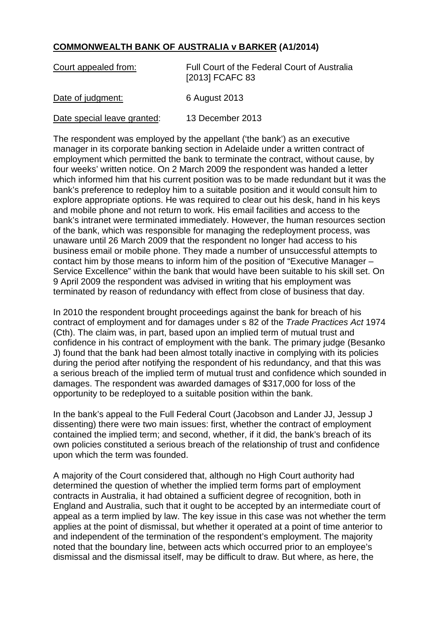## **COMMONWEALTH BANK OF AUSTRALIA v BARKER (A1/2014)**

| Court appealed from:        | Full Court of the Federal Court of Australia<br>[2013] FCAFC 83 |
|-----------------------------|-----------------------------------------------------------------|
| Date of judgment:           | 6 August 2013                                                   |
| Date special leave granted: | 13 December 2013                                                |

The respondent was employed by the appellant ('the bank') as an executive manager in its corporate banking section in Adelaide under a written contract of employment which permitted the bank to terminate the contract, without cause, by four weeks' written notice. On 2 March 2009 the respondent was handed a letter which informed him that his current position was to be made redundant but it was the bank's preference to redeploy him to a suitable position and it would consult him to explore appropriate options. He was required to clear out his desk, hand in his keys and mobile phone and not return to work. His email facilities and access to the bank's intranet were terminated immediately. However, the human resources section of the bank, which was responsible for managing the redeployment process, was unaware until 26 March 2009 that the respondent no longer had access to his business email or mobile phone. They made a number of unsuccessful attempts to contact him by those means to inform him of the position of "Executive Manager – Service Excellence" within the bank that would have been suitable to his skill set. On 9 April 2009 the respondent was advised in writing that his employment was terminated by reason of redundancy with effect from close of business that day.

In 2010 the respondent brought proceedings against the bank for breach of his contract of employment and for damages under s 82 of the *Trade Practices Act* 1974 (Cth). The claim was, in part, based upon an implied term of mutual trust and confidence in his contract of employment with the bank. The primary judge (Besanko J) found that the bank had been almost totally inactive in complying with its policies during the period after notifying the respondent of his redundancy, and that this was a serious breach of the implied term of mutual trust and confidence which sounded in damages. The respondent was awarded damages of \$317,000 for loss of the opportunity to be redeployed to a suitable position within the bank.

In the bank's appeal to the Full Federal Court (Jacobson and Lander JJ, Jessup J dissenting) there were two main issues: first, whether the contract of employment contained the implied term; and second, whether, if it did, the bank's breach of its own policies constituted a serious breach of the relationship of trust and confidence upon which the term was founded.

A majority of the Court considered that, although no High Court authority had determined the question of whether the implied term forms part of employment contracts in Australia, it had obtained a sufficient degree of recognition, both in England and Australia, such that it ought to be accepted by an intermediate court of appeal as a term implied by law. The key issue in this case was not whether the term applies at the point of dismissal, but whether it operated at a point of time anterior to and independent of the termination of the respondent's employment. The majority noted that the boundary line, between acts which occurred prior to an employee's dismissal and the dismissal itself, may be difficult to draw. But where, as here, the